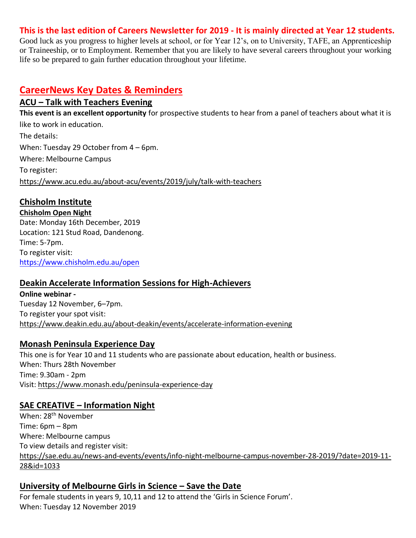#### **This is the last edition of Careers Newsletter for 2019 - It is mainly directed at Year 12 students.**

Good luck as you progress to higher levels at school, or for Year 12's, on to University, TAFE, an Apprenticeship or Traineeship, or to Employment. Remember that you are likely to have several careers throughout your working life so be prepared to gain further education throughout your lifetime.

## **CareerNews Key Dates & Reminders**

## **ACU – Talk with Teachers Evening**

**This event is an excellent opportunity** for prospective students to hear from a panel of teachers about what it is like to work in education. The details: When: Tuesday 29 October from 4 – 6pm. Where: Melbourne Campus To register:

<https://www.acu.edu.au/about-acu/events/2019/july/talk-with-teachers>

## **Chisholm Institute**

**Chisholm Open Night** Date: Monday 16th December, 2019 Location: 121 Stud Road, Dandenong. Time: 5-7pm. To register visit: <https://www.chisholm.edu.au/open>

## **Deakin Accelerate Information Sessions for High-Achievers**

**Online webinar -** Tuesday 12 November, 6–7pm. To register your spot visit: <https://www.deakin.edu.au/about-deakin/events/accelerate-information-evening>

## **Monash Peninsula Experience Day**

This one is for Year 10 and 11 students who are passionate about education, health or business. When: Thurs 28th November Time: 9.30am - 2pm Visit:<https://www.monash.edu/peninsula-experience-day>

## **SAE CREATIVE – Information Night**

When: 28th November Time: 6pm – 8pm Where: Melbourne campus To view details and register visit: [https://sae.edu.au/news-and-events/events/info-night-melbourne-campus-november-28-2019/?date=2019-11-](https://sae.edu.au/news-and-events/events/info-night-melbourne-campus-november-28-2019/?date=2019-11-28&id=1033) [28&id=1033](https://sae.edu.au/news-and-events/events/info-night-melbourne-campus-november-28-2019/?date=2019-11-28&id=1033)

## **University of Melbourne Girls in Science – Save the Date**

For female students in years 9, 10,11 and 12 to attend the 'Girls in Science Forum'. When: Tuesday 12 November 2019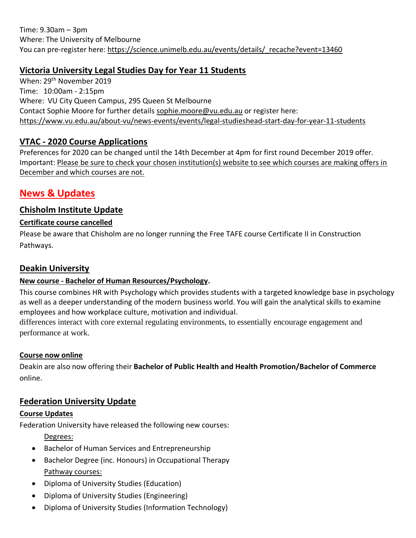## **Victoria University Legal Studies Day for Year 11 Students**

When: 29<sup>th</sup> November 2019 Time: 10:00am - 2:15pm Where: VU City Queen Campus, 295 Queen St Melbourne Contact Sophie Moore for further details [sophie.moore@vu.edu.au](mailto:sophie.moore@vu.edu.au) or register here: <https://www.vu.edu.au/about-vu/news-events/events/legal-studieshead-start-day-for-year-11-students>

## **VTAC - 2020 Course Applications**

Preferences for 2020 can be changed until the 14th December at 4pm for first round December 2019 offer. Important: Please be sure to check your chosen institution(s) website to see which courses are making offers in December and which courses are not.

## **News & Updates**

## **Chisholm Institute Update**

#### **Certificate course cancelled**

Please be aware that Chisholm are no longer running the Free TAFE course Certificate II in Construction Pathways.

### **Deakin University**

#### **New course - Bachelor of Human Resources/Psychology.**

This course combines HR with Psychology which provides students with a targeted knowledge base in psychology as well as a deeper understanding of the modern business world. You will gain the analytical skills to examine employees and how workplace culture, motivation and individual.

differences interact with core external regulating environments, to essentially encourage engagement and performance at work.

#### **Course now online**

Deakin are also now offering their **Bachelor of Public Health and Health Promotion/Bachelor of Commerce**  online.

## **Federation University Update**

#### **Course Updates**

Federation University have released the following new courses:

Degrees:

- Bachelor of Human Services and Entrepreneurship
- Bachelor Degree (inc. Honours) in Occupational Therapy Pathway courses:
- Diploma of University Studies (Education)
- Diploma of University Studies (Engineering)
- Diploma of University Studies (Information Technology)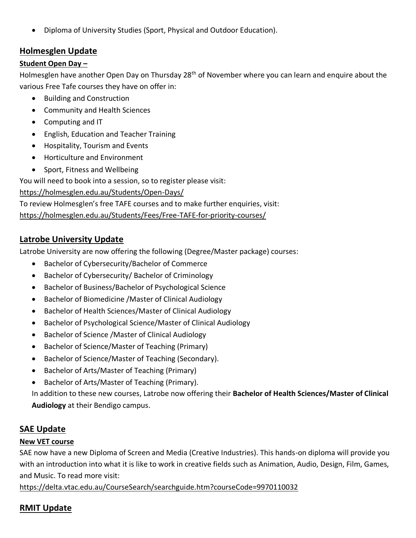• Diploma of University Studies (Sport, Physical and Outdoor Education).

### **Holmesglen Update**

#### **Student Open Day –**

Holmesglen have another Open Day on Thursday 28<sup>th</sup> of November where you can learn and enquire about the various Free Tafe courses they have on offer in:

- Building and Construction
- Community and Health Sciences
- Computing and IT
- English, Education and Teacher Training
- Hospitality, Tourism and Events
- Horticulture and Environment
- Sport, Fitness and Wellbeing

You will need to book into a session, so to register please visit:

<https://holmesglen.edu.au/Students/Open-Days/>

To review Holmesglen's free TAFE courses and to make further enquiries, visit:

<https://holmesglen.edu.au/Students/Fees/Free-TAFE-for-priority-courses/>

### **Latrobe University Update**

Latrobe University are now offering the following (Degree/Master package) courses:

- Bachelor of Cybersecurity/Bachelor of Commerce
- Bachelor of Cybersecurity/ Bachelor of Criminology
- Bachelor of Business/Bachelor of Psychological Science
- Bachelor of Biomedicine /Master of Clinical Audiology
- Bachelor of Health Sciences/Master of Clinical Audiology
- Bachelor of Psychological Science/Master of Clinical Audiology
- Bachelor of Science /Master of Clinical Audiology
- Bachelor of Science/Master of Teaching (Primary)
- Bachelor of Science/Master of Teaching (Secondary).
- Bachelor of Arts/Master of Teaching (Primary)
- Bachelor of Arts/Master of Teaching (Primary).

In addition to these new courses, Latrobe now offering their **Bachelor of Health Sciences/Master of Clinical Audiology** at their Bendigo campus.

## **SAE Update**

#### **New VET course**

SAE now have a new Diploma of Screen and Media (Creative Industries). This hands-on diploma will provide you with an introduction into what it is like to work in creative fields such as Animation, Audio, Design, Film, Games, and Music. To read more visit:

<https://delta.vtac.edu.au/CourseSearch/searchguide.htm?courseCode=9970110032>

## **RMIT Update**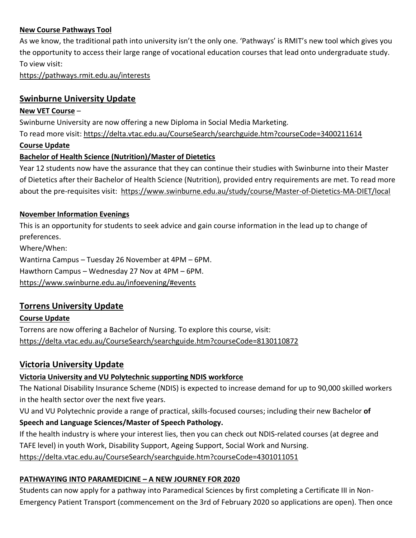#### **New Course Pathways Tool**

As we know, the traditional path into university isn't the only one. 'Pathways' is RMIT's new tool which gives you the opportunity to access their large range of vocational education courses that lead onto undergraduate study. To view visit:

<https://pathways.rmit.edu.au/interests>

### **Swinburne University Update**

#### **New VET Course** –

Swinburne University are now offering a new Diploma in Social Media Marketing.

To read more visit:<https://delta.vtac.edu.au/CourseSearch/searchguide.htm?courseCode=3400211614>

#### **Course Update**

#### **Bachelor of Health Science (Nutrition)/Master of Dietetics**

Year 12 students now have the assurance that they can continue their studies with Swinburne into their Master of Dietetics after their Bachelor of Health Science (Nutrition), provided entry requirements are met. To read more about the pre-requisites visit: <https://www.swinburne.edu.au/study/course/Master-of-Dietetics-MA-DIET/local>

#### **November Information Evenings**

This is an opportunity for students to seek advice and gain course information in the lead up to change of preferences.

Where/When: Wantirna Campus – Tuesday 26 November at 4PM – 6PM. Hawthorn Campus – Wednesday 27 Nov at 4PM – 6PM. <https://www.swinburne.edu.au/infoevening/#events>

## **Torrens University Update**

#### **Course Update**

Torrens are now offering a Bachelor of Nursing. To explore this course, visit: <https://delta.vtac.edu.au/CourseSearch/searchguide.htm?courseCode=8130110872>

#### **Victoria University Update**

#### **Victoria University and VU Polytechnic supporting NDIS workforce**

The National Disability Insurance Scheme (NDIS) is expected to increase demand for up to 90,000 skilled workers in the health sector over the next five years.

VU and VU Polytechnic provide a range of practical, skills-focused courses; including their new Bachelor **of Speech and Language Sciences/Master of Speech Pathology.**

If the health industry is where your interest lies, then you can check out NDIS-related courses (at degree and TAFE level) in youth Work, Disability Support, Ageing Support, Social Work and Nursing. <https://delta.vtac.edu.au/CourseSearch/searchguide.htm?courseCode=4301011051>

#### **PATHWAYING INTO PARAMEDICINE – A NEW JOURNEY FOR 2020**

Students can now apply for a pathway into Paramedical Sciences by first completing a Certificate III in Non-Emergency Patient Transport (commencement on the 3rd of February 2020 so applications are open). Then once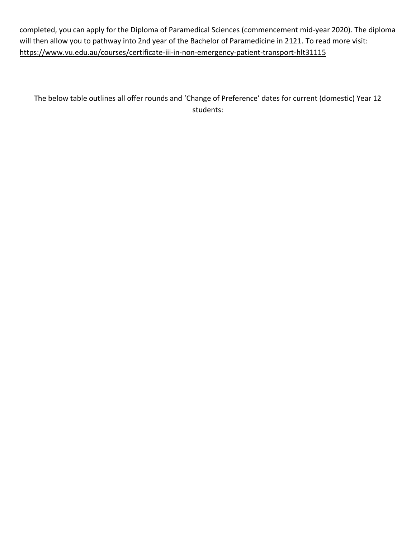completed, you can apply for the Diploma of Paramedical Sciences (commencement mid-year 2020). The diploma will then allow you to pathway into 2nd year of the Bachelor of Paramedicine in 2121. To read more visit: <https://www.vu.edu.au/courses/certificate-iii-in-non-emergency-patient-transport-hlt31115>

The below table outlines all offer rounds and 'Change of Preference' dates for current (domestic) Year 12 students: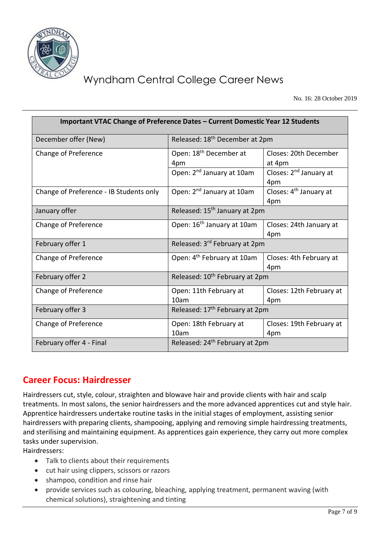

# Wyndham Central College Career News

No. 16: 28 October 2019

| Important VTAC Change of Preference Dates - Current Domestic Year 12 Students |                                            |                                           |
|-------------------------------------------------------------------------------|--------------------------------------------|-------------------------------------------|
| December offer (New)                                                          | Released: 18 <sup>th</sup> December at 2pm |                                           |
| Change of Preference                                                          | Open: 18 <sup>th</sup> December at<br>4pm  | Closes: 20th December<br>at 4pm           |
|                                                                               | Open: 2 <sup>nd</sup> January at 10am      | Closes: 2 <sup>nd</sup> January at<br>4pm |
| Change of Preference - IB Students only                                       | Open: 2 <sup>nd</sup> January at 10am      | Closes: 4 <sup>th</sup> January at<br>4pm |
| January offer                                                                 | Released: 15 <sup>th</sup> January at 2pm  |                                           |
| Change of Preference                                                          | Open: 16 <sup>th</sup> January at 10am     | Closes: 24th January at<br>4pm            |
| February offer 1                                                              | Released: 3 <sup>rd</sup> February at 2pm  |                                           |
| Change of Preference                                                          | Open: 4 <sup>th</sup> February at 10am     | Closes: 4th February at<br>4pm            |
| February offer 2                                                              | Released: 10 <sup>th</sup> February at 2pm |                                           |
| Change of Preference                                                          | Open: 11th February at<br>10am             | Closes: 12th February at<br>4pm           |
| February offer 3                                                              | Released: 17 <sup>th</sup> February at 2pm |                                           |
| Change of Preference                                                          | Open: 18th February at<br>10am             | Closes: 19th February at<br>4pm           |
| February offer 4 - Final                                                      | Released: 24 <sup>th</sup> February at 2pm |                                           |

## **Career Focus: Hairdresser**

Hairdressers cut, style, colour, straighten and blowave hair and provide clients with hair and scalp treatments. In most salons, the senior hairdressers and the more advanced apprentices cut and style hair. Apprentice hairdressers undertake routine tasks in the initial stages of employment, assisting senior hairdressers with preparing clients, shampooing, applying and removing simple hairdressing treatments, and sterilising and maintaining equipment. As apprentices gain experience, they carry out more complex tasks under supervision.

Hairdressers:

- Talk to clients about their requirements
- cut hair using clippers, scissors or razors
- shampoo, condition and rinse hair
- provide services such as colouring, bleaching, applying treatment, permanent waving (with chemical solutions), straightening and tinting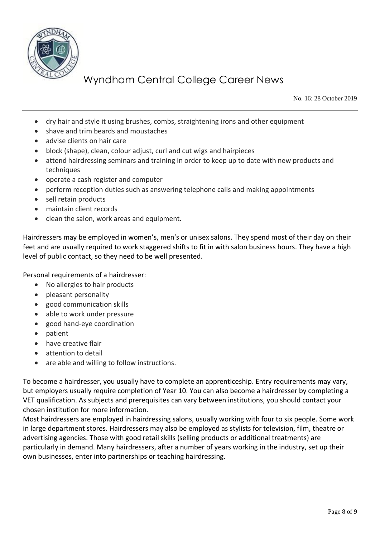

# Wyndham Central College Career News

No. 16: 28 October 2019

- dry hair and style it using brushes, combs, straightening irons and other equipment
- shave and trim beards and moustaches
- advise clients on hair care
- block (shape), clean, colour adjust, curl and cut wigs and hairpieces
- attend hairdressing seminars and training in order to keep up to date with new products and techniques
- operate a cash register and computer
- perform reception duties such as answering telephone calls and making appointments
- sell retain products
- maintain client records
- clean the salon, work areas and equipment.

Hairdressers may be employed in women's, men's or unisex salons. They spend most of their day on their feet and are usually required to work staggered shifts to fit in with salon business hours. They have a high level of public contact, so they need to be well presented.

Personal requirements of a hairdresser:

- No allergies to hair products
- pleasant personality
- good communication skills
- able to work under pressure
- good hand-eye coordination
- patient
- have creative flair
- attention to detail
- are able and willing to follow instructions.

To become a hairdresser, you usually have to complete an apprenticeship. Entry requirements may vary, but employers usually require completion of Year 10. You can also become a hairdresser by completing a VET qualification. As subjects and prerequisites can vary between institutions, you should contact your chosen institution for more information.

Most hairdressers are employed in hairdressing salons, usually working with four to six people. Some work in large department stores. Hairdressers may also be employed as stylists for television, film, theatre or advertising agencies. Those with good retail skills (selling products or additional treatments) are particularly in demand. Many hairdressers, after a number of years working in the industry, set up their own businesses, enter into partnerships or teaching hairdressing.